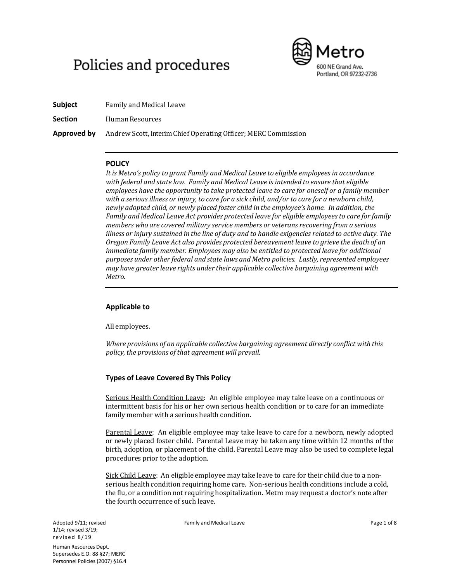# Policies and procedures



**Subject** Family and Medical Leave

**Section** Human Resources

**Approved by** Andrew Scott, Interim Chief Operating Officer; MERC Commission

### **POLICY**

*It is Metro's policy to grant Family and Medical Leave to eligible employees in accordance with federal and state law. Family and Medical Leave is intended to ensure that eligible employees have the opportunity to take protected leave to care for oneself or a family member* with a serious illness or injury, to care for a sick child, and/or to care for a newborn child, *newly adopted child, or newly placed foster child in the employee's home. In addition, the Family and Medical Leave Act provides protected leave for eligible employeesto care for family members who are covered military service members or veterans recovering from a serious illness or injury sustained in the line of duty and to handle exigencies related to active duty. The Oregon Family Leave Act also provides protected bereavement leave to grieve the death of an immediate family member. Employees may also be entitled to protected leave for additional purposes under other federal and state laws and Metro policies. Lastly, represented employees may have greater leave rights under their applicable collective bargaining agreement with Metro.*

# **Applicable to**

All employees.

*Where provisions of an applicable collective bargaining agreement directly conflict with this policy, the provisions of that agreement will prevail.*

# **Types of Leave Covered By This Policy**

Serious Health Condition Leave: An eligible employee may take leave on a continuous or intermittent basis for his or her own serious health condition or to care for an immediate family member with a serious health condition.

Parental Leave: An eligible employee may take leave to care for a newborn, newly adopted or newly placed foster child. Parental Leave may be taken any time within 12 months of the birth, adoption, or placement of the child. Parental Leave may also be used to complete legal procedures prior to the adoption.

Sick Child Leave: An eligible employee may take leave to care for their child due to a nonserious health condition requiring home care. Non-serious health conditions include a cold, the flu, or a condition not requiring hospitalization. Metro may request a doctor's note after the fourth occurrence of such leave.

Adopted 9/11; revised 1/14; revised 3/19; revised 8/19 Human Resources Dept. Supersedes E.O. 88 §27; MERC Personnel Policies (2007) §16.4 Family and Medical Leave **Page 1 of 8** and Medical Leave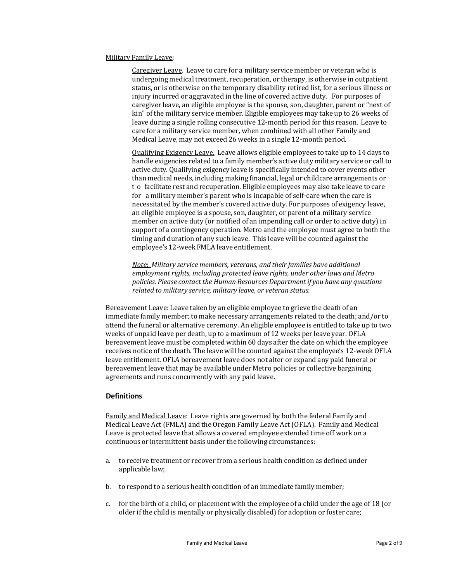#### Military Family Leave:

Caregiver Leave. Leave to care for a military service member or veteran who is undergoing medical treatment, recuperation, or therapy, is otherwise in outpatient status, or is otherwise on the temporary disability retired list, for a serious illness or injury incurred or aggravated in the line of covered active duty. For purposes of caregiver leave, an eligible employee is the spouse, son, daughter, parent or "next of kin" of the military service member. Eligible employees may take up to 26 weeks of leave during a single rolling consecutive 12-month period for this reason. Leave to care for a military service member, when combined with all other Family and Medical Leave, may not exceed 26 weeks in a single 12-month period.

Qualifying Exigency Leave. Leave allows eligible employees to take up to 14 days to handle exigencies related to a family member's active duty military service or call to active duty. Qualifying exigency leave is specifically intended to cover events other than medical needs, including making financial, legal or childcare arrangements or t o facilitate rest and recuperation. Eligible employees may also take leave to care for a military member's parent who is incapable of self-care when the care is necessitated by the member's covered active duty. For purposes of exigency leave, an eligible employee is a spouse, son, daughter, or parent of a military service member on active duty (or notified of an impending call or order to active duty) in support of a contingency operation. Metro and the employee must agree to both the timing and duration of any such leave. This leave will be counted against the employee's 12-week FMLA leave entitlement.

*Note*: *Military service members, veterans, and their families have additional employment rights, including protected leave rights, under other laws and Metro policies. Please contact the Human Resources Department if you have any questions related to military service, military leave, or veteran status.*

Bereavement Leave: Leave taken by an eligible employee to grieve the death of an immediate family member; to make necessary arrangements related to the death; and/or to attend the funeral or alternative ceremony. An eligible employee is entitled to take up to two weeks of unpaid leave per death, up to a maximum of 12 weeks per leave year. OFLA bereavement leave must be completed within 60 days after the date on which the employee receives notice of the death. The leave will be counted against the employee's 12-week OFLA leave entitlement. OFLA bereavement leave does not alter or expand any paid funeral or bereavement leave that may be available under Metro policies or collective bargaining agreements and runs concurrently with any paid leave.

#### **Definitions**

Family and Medical Leave: Leave rights are governed by both the federal Family and Medical Leave Act (FMLA) and the Oregon Family Leave Act (OFLA). Family and Medical Leave is protected leave that allows a covered employee extended time off work on a continuous or intermittent basis under the following circumstances:

- a. to receive treatment or recover from a serious health condition as defined under applicable law;
- b. to respond to a serious health condition of an immediate family member;
- c. for the birth of a child, or placement with the employee of a child under the age of 18 (or older if the child is mentally or physically disabled) for adoption or foster care;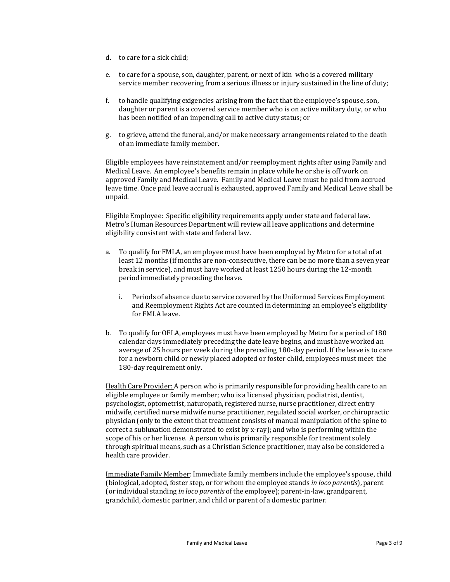- d. to care for a sick child;
- e. to care for a spouse, son, daughter, parent, or next of kin who is a covered military service member recovering from a serious illness or injury sustained in the line of duty;
- f. to handle qualifying exigencies arising from the fact that the employee's spouse, son, daughter or parent is a covered service member who is on active military duty, or who has been notified of an impending call to active duty status; or
- g. to grieve, attend the funeral, and/or make necessary arrangements related to the death of an immediate family member.

Eligible employees have reinstatement and/or reemployment rights after using Family and Medical Leave. An employee's benefits remain in place while he or she is off work on approved Family and Medical Leave. Family and Medical Leave must be paid from accrued leave time. Once paid leave accrual is exhausted, approved Family and Medical Leave shall be unpaid.

Eligible Employee: Specific eligibility requirements apply under state and federal law. Metro's Human Resources Department will review all leave applications and determine eligibility consistent with state and federal law.

- a. To qualify for FMLA, an employee must have been employed by Metro for a total of at least 12 months (if months are non-consecutive, there can be no more than a seven year break in service), and must have worked at least 1250 hours during the 12-month period immediately preceding the leave.
	- i. Periods of absence due to service covered by the Uniformed Services Employment and Reemployment Rights Act are counted in determining an employee's eligibility for FMLA leave.
- b. To qualify for OFLA, employees must have been employed by Metro for a period of 180 calendar days immediately preceding the date leave begins, and must have worked an average of 25 hours per week during the preceding 180-day period. If the leave is to care for a newborn child or newly placed adopted or foster child, employees must meet the 180-day requirement only.

Health Care Provider: A person who is primarily responsible for providing health care to an eligible employee or family member; who is a licensed physician, podiatrist, dentist, psychologist, optometrist, naturopath, registered nurse, nurse practitioner, direct entry midwife, certified nurse midwife nurse practitioner, regulated social worker, or chiropractic physician (only to the extent that treatment consists of manual manipulation of the spine to correct a subluxation demonstrated to exist by x-ray); and who is performing within the scope of his or her license. A person who is primarily responsible for treatment solely through spiritual means, such as a Christian Science practitioner, may also be considered a health care provider.

Immediate Family Member: Immediate family members include the employee's spouse, child (biological, adopted, foster step, or for whom the employee stands *in loco parentis*), parent (or individual standing *in loco parentis* of the employee); parent-in-law, grandparent, grandchild, domestic partner, and child or parent of a domestic partner.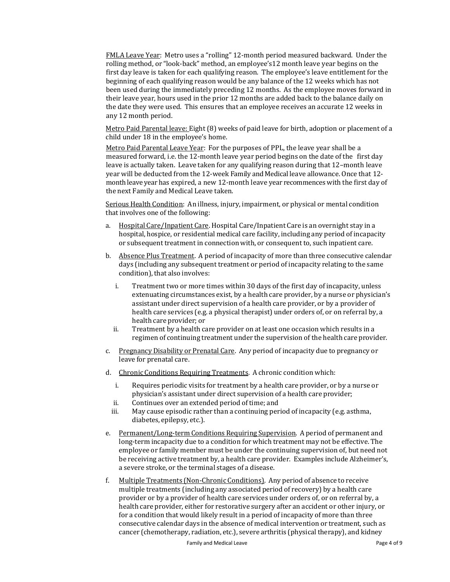FMLA Leave Year: Metro uses a "rolling" 12-month period measured backward. Under the rolling method, or "look-back" method, an employee's12 month leave year begins on the first day leave is taken for each qualifying reason. The employee's leave entitlement for the beginning of each qualifying reason would be any balance of the 12 weeks which has not been used during the immediately preceding 12 months. As the employee moves forward in their leave year, hours used in the prior 12 months are added back to the balance daily on the date they were used. This ensures that an employee receives an accurate 12 weeks in any 12 month period.

Metro Paid Parental leave: Eight (8) weeks of paid leave for birth, adoption or placement of a child under 18 in the employee's home.

Metro Paid Parental Leave Year: For the purposes of PPL, the leave year shall be a measured forward, i.e. the 12-month leave year period begins on the date of the first day leave is actually taken. Leave taken for any qualifying reason during that 12–month leave year will be deducted from the 12-week Family and Medical leave allowance. Once that 12 month leave year has expired, a new 12-month leave year recommences with the first day of the next Family and Medical Leave taken.

Serious Health Condition: An illness, injury, impairment, or physical or mental condition that involves one of the following:

- a. Hospital Care/Inpatient Care. Hospital Care/Inpatient Care is an overnight stay in a hospital, hospice, or residential medical care facility, including any period of incapacity or subsequent treatment in connection with, or consequent to, such inpatient care.
- b. Absence Plus Treatment. A period of incapacity of more than three consecutive calendar days (including any subsequent treatment or period of incapacity relating to the same condition), that also involves:
	- i. Treatment two or more times within 30 days of the first day of incapacity, unless extenuating circumstances exist, by a health care provider, by a nurse or physician's assistant under direct supervision of a health care provider, or by a provider of health care services (e.g. a physical therapist) under orders of, or on referral by, a health care provider; or
	- ii. Treatment by a health care provider on at least one occasion which results in a regimen of continuing treatment under the supervision of the health care provider.
- c. Pregnancy Disability or Prenatal Care. Any period of incapacity due to pregnancy or leave for prenatal care.
- d. Chronic Conditions Requiring Treatments. A chronic condition which:
	- i. Requires periodic visits for treatment by a health care provider, or by a nurse or physician's assistant under direct supervision of a health care provider;
	- ii. Continues over an extended period of time; and
	- iii. May cause episodic rather than a continuing period of incapacity (e.g. asthma, diabetes, epilepsy, etc.).
- e. Permanent/Long-term Conditions Requiring Supervision. A period of permanent and long-term incapacity due to a condition for which treatment may not be effective. The employee or family member must be under the continuing supervision of, but need not be receiving active treatment by, a health care provider. Examples include Alzheimer's, a severe stroke, or the terminal stages of a disease.
- f. Multiple Treatments (Non-Chronic Conditions). Any period of absence to receive multiple treatments (including any associated period of recovery) by a health care provider or by a provider of health care services under orders of, or on referral by, a health care provider, either for restorative surgery after an accident or other injury, or for a condition that would likely result in a period of incapacity of more than three consecutive calendar days in the absence of medical intervention or treatment, such as cancer (chemotherapy, radiation, etc.), severe arthritis (physical therapy), and kidney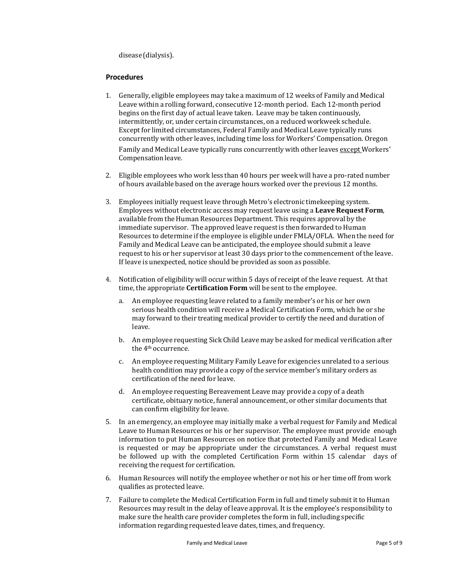disease (dialysis).

#### **Procedures**

- 1. Generally, eligible employees may take a maximum of 12 weeks of Family and Medical Leave within a rolling forward, consecutive 12-month period. Each 12-month period begins on the first day of actual leave taken. Leave may be taken continuously, intermittently, or, under certain circumstances, on a reduced workweek schedule. Except for limited circumstances, Federal Family and Medical Leave typically runs concurrently with other leaves, including time loss for Workers' Compensation. Oregon Family and Medical Leave typically runs concurrently with other leaves except Workers' Compensationleave.
- 2. Eligible employees who work less than 40 hours per week will have a pro-rated number of hours available based on the average hours worked over the previous 12 months.
- 3. Employees initially requestleave through Metro's electronic timekeeping system. Employees without electronic access may request leave using a **Leave Request Form**, available from the Human Resources Department. This requires approval by the immediate supervisor. The approved leave request is then forwarded to Human Resources to determine if the employee is eligible under FMLA/OFLA. When the need for Family and Medical Leave can be anticipated, the employee should submit a leave request to his or her supervisor at least 30 days prior to the commencement of the leave. If leave is unexpected, notice should be provided as soon as possible.
- 4. Notification of eligibility will occur within 5 days of receipt of the leave request. At that time, the appropriate **Certification Form** will be sent to the employee.
	- a. An employee requesting leave related to a family member's or his or her own serious health condition will receive a Medical Certification Form, which he or she may forward to their treating medical provider to certify the need and duration of leave.
	- b. An employee requesting Sick Child Leave may be asked for medical verification after the 4th occurrence.
	- c. An employee requesting Military Family Leave for exigencies unrelated to a serious health condition may provide a copy of the service member's military orders as certification of the need for leave.
	- d. An employee requesting Bereavement Leave may provide a copy of a death certificate, obituary notice, funeral announcement, or other similar documents that can confirm eligibility for leave.
- 5. In an emergency, an employee may initially make a verbal requestfor Family and Medical Leave to Human Resources or his or her supervisor. The employee must provide enough information to put Human Resources on notice that protected Family and Medical Leave is requested or may be appropriate under the circumstances. A verbal request must be followed up with the completed Certification Form within 15 calendar days of receiving the request for certification.
- 6. Human Resources will notify the employee whether or not his or her time off from work qualifies as protected leave.
- 7. Failure to complete the Medical Certification Form in full and timely submit it to Human Resources may result in the delay of leave approval. It is the employee's responsibility to make sure the health care provider completes the form in full, including specific information regarding requested leave dates, times, and frequency.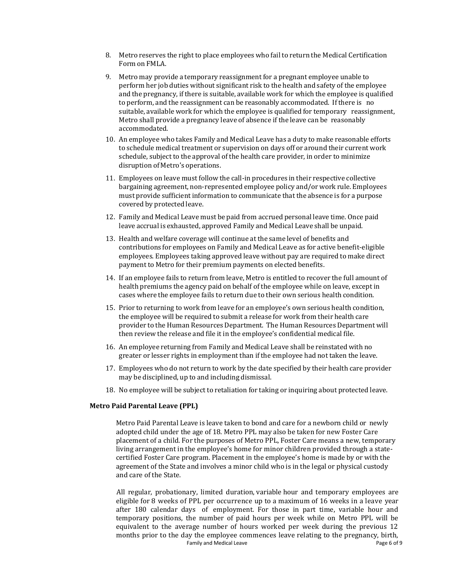- 8. Metro reserves the right to place employees who fail to return the Medical Certification Form on FMLA.
- 9. Metro may provide a temporary reassignment for a pregnant employee unable to perform her job duties without significant risk to the health and safety of the employee and the pregnancy, if there is suitable, available work for which the employee is qualified to perform, and the reassignment can be reasonably accommodated. If there is no suitable, available work for which the employee is qualified for temporary reassignment, Metro shall provide a pregnancy leave of absence if the leave can be reasonably accommodated.
- 10. An employee who takes Family and Medical Leave has a duty to make reasonable efforts to schedule medical treatment or supervision on days off or around their current work schedule, subject to the approval of the health care provider, in order to minimize disruption of Metro's operations.
- 11. Employees on leave must follow the call-in procedures in their respective collective bargaining agreement, non-represented employee policy and/or work rule. Employees must provide sufficient information to communicate that the absence is for a purpose covered by protected leave.
- 12. Family and Medical Leave must be paid from accrued personal leave time. Once paid leave accrual is exhausted, approved Family and Medical Leave shall be unpaid.
- 13. Health and welfare coverage will continue at the same level of benefits and contributions for employees on Family and Medical Leave as for active benefit-eligible employees. Employees taking approved leave without pay are required to make direct payment to Metro for their premium payments on elected benefits.
- 14. If an employee fails to return from leave, Metro is entitled to recover the full amount of health premiums the agency paid on behalf of the employee while on leave, except in cases where the employee fails to return due to their own serious health condition.
- 15. Prior to returning to work from leave for an employee's own serious health condition, the employee will be required to submit a release for work from their health care provider to the Human Resources Department. The Human Resources Department will then review the release and file it in the employee's confidential medical file.
- 16. An employee returning from Family and Medical Leave shall be reinstated with no greater or lesser rights in employment than if the employee had not taken the leave.
- 17. Employees who do not return to work by the date specified by their health care provider may be disciplined, up to and including dismissal.
- 18. No employee will be subject to retaliation for taking or inquiring about protected leave.

#### **Metro Paid Parental Leave (PPL)**

Metro Paid Parental Leave is leave taken to bond and care for a newborn child or newly adopted child under the age of 18. Metro PPL may also be taken for new Foster Care placement of a child. For the purposes of Metro PPL, Foster Care means a new, temporary living arrangement in the employee's home for minor children provided through a statecertified Foster Care program. Placement in the employee's home is made by or with the agreement of the State and involves a minor child who is in the legal or physical custody and care of the State.

Family and Medical Leave **Page 6 of 9** and Medical Leave All regular, probationary, limited duration, variable hour and temporary employees are eligible for 8 weeks of PPL per occurrence up to a maximum of 16 weeks in a leave year after 180 calendar days of employment. For those in part time, variable hour and temporary positions, the number of paid hours per week while on Metro PPL will be equivalent to the average number of hours worked per week during the previous 12 months prior to the day the employee commences leave relating to the pregnancy, birth,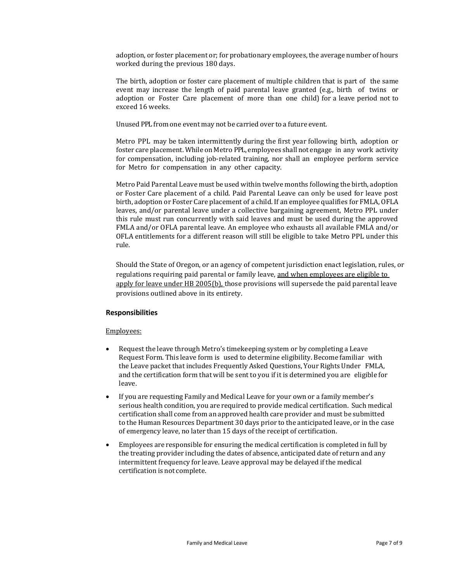adoption, or foster placement or; for probationary employees, the average number of hours worked during the previous 180 days.

The birth, adoption or foster care placement of multiple children that is part of the same event may increase the length of paid parental leave granted (e.g., birth of twins or adoption or Foster Care placement of more than one child) for a leave period not to exceed 16 weeks.

Unused PPL from one event may not be carried over to a future event.

Metro PPL may be taken intermittently during the first year following birth, adoption or foster care placement. While on Metro PPL, employees shall not engage in any work activity for compensation, including job-related training, nor shall an employee perform service for Metro for compensation in any other capacity.

Metro Paid Parental Leave must be used within twelve months following the birth, adoption or Foster Care placement of a child. Paid Parental Leave can only be used for leave post birth, adoption or Foster Care placement of a child. If an employee qualifies for FMLA, OFLA leaves, and/or parental leave under a collective bargaining agreement, Metro PPL under this rule must run concurrently with said leaves and must be used during the approved FMLA and/or OFLA parental leave. An employee who exhausts all available FMLA and/or OFLA entitlements for a different reason will still be eligible to take Metro PPL under this rule.

Should the State of Oregon, or an agency of competent jurisdiction enact legislation, rules, or regulations requiring paid parental or family leave, and when employees are eligible to apply for leave under HB 2005(b), those provisions will supersede the paid parental leave provisions outlined above in its entirety.

#### **Responsibilities**

#### Employees:

- Request the leave through Metro's timekeeping system or by completing a Leave Request Form. This leave form is used to determine eligibility. Become familiar with the Leave packet that includes Frequently Asked Questions, Your Rights Under FMLA, and the certification form that will be sent to you if it is determined you are eligible for leave.
- If you are requesting Family and Medical Leave for your own or a family member's serious health condition, you are required to provide medical certification. Such medical certification shall come from an approved health care provider and must be submitted to the Human Resources Department 30 days prior to the anticipated leave, or in the case of emergency leave, no later than 15 days of the receipt of certification.
- Employees are responsible for ensuring the medical certification is completed in full by the treating provider including the dates of absence, anticipated date of return and any intermittent frequency for leave. Leave approval may be delayed if the medical certification is not complete.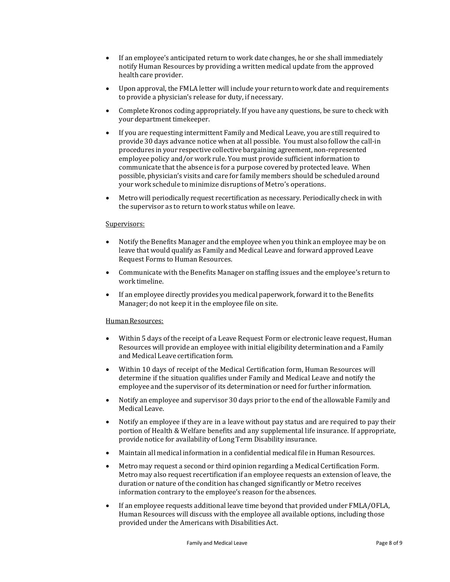- If an employee's anticipated return to work date changes, he or she shall immediately notify Human Resources by providing a written medical update from the approved health care provider.
- Upon approval, the FMLA letter will include your return to work date and requirements to provide a physician's release for duty, if necessary.
- Complete Kronos coding appropriately. If you have any questions, be sure to check with your department timekeeper.
- If you are requesting intermittent Family and Medical Leave, you are still required to provide 30 days advance notice when at all possible. You must also follow the call-in procedures in your respective collective bargaining agreement, non-represented employee policy and/or work rule. You must provide sufficient information to communicate that the absence is for a purpose covered by protected leave. When possible, physician's visits and care for family members should be scheduled around your work schedule to minimize disruptions of Metro's operations.
- Metro will periodically request recertification as necessary. Periodically check in with the supervisor as to return to work status while on leave.

#### Supervisors:

- Notify the Benefits Manager and the employee when you think an employee may be on leave that would qualify as Family and Medical Leave and forward approved Leave Request Forms to Human Resources.
- Communicate with the Benefits Manager on staffing issues and the employee's return to work timeline.
- If an employee directly provides you medical paperwork, forward it to the Benefits Manager; do not keep it in the employee file on site.

#### Human Resources:

- Within 5 days of the receipt of a Leave Request Form or electronic leave request, Human Resources will provide an employee with initial eligibility determination and a Family and Medical Leave certification form.
- Within 10 days of receipt of the Medical Certification form, Human Resources will determine if the situation qualifies under Family and Medical Leave and notify the employee and the supervisor of its determination or need for further information.
- Notify an employee and supervisor 30 days prior to the end of the allowable Family and Medical Leave.
- Notify an employee if they are in a leave without pay status and are required to pay their portion of Health & Welfare benefits and any supplemental life insurance. If appropriate, provide notice for availability of Long Term Disability insurance.
- Maintain all medical information in a confidential medical file in Human Resources.
- Metro may request a second or third opinion regarding a Medical Certification Form. Metro may also request recertification if an employee requests an extension of leave, the duration or nature of the condition has changed significantly or Metro receives information contrary to the employee's reason for the absences.
- If an employee requests additional leave time beyond that provided under FMLA/OFLA, Human Resources will discuss with the employee all available options, including those provided under the Americans with Disabilities Act.